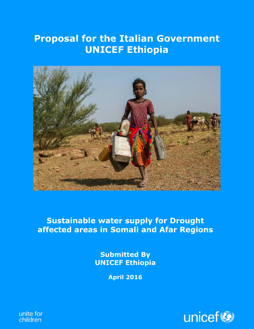# **National Alliance Districts Constructed Alliance Districts Construction Alliance Proposal for the Italian Government**



### **Sustainable water supply for Drought affected areas in Somali and Afar Regions**

**Sustainable water supply for Drought affected Submitted By areas in Somali and Afar Regions of Afar Regions and Afar Regions and Afar Regions and Afar Regions and Afar** Regions and Afar Regions and Afar Regions and Afar Regions and Afar Regions and Afar Regions and Afar Regions a

**April 2016**



unite for children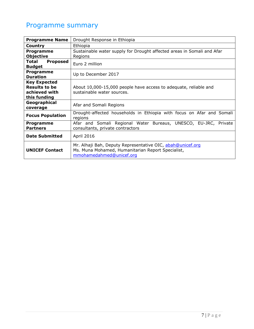## Programme summary

| <b>Programme Name</b>                                                        | Drought Response in Ethiopia                                                                                                                |  |  |  |  |  |  |
|------------------------------------------------------------------------------|---------------------------------------------------------------------------------------------------------------------------------------------|--|--|--|--|--|--|
| <b>Country</b>                                                               | Ethiopia                                                                                                                                    |  |  |  |  |  |  |
| <b>Programme</b>                                                             | Sustainable water supply for Drought affected areas in Somali and Afar                                                                      |  |  |  |  |  |  |
| <b>Objective</b>                                                             | Regions                                                                                                                                     |  |  |  |  |  |  |
| Total<br><b>Proposed</b><br><b>Budget</b>                                    | Euro 2 million                                                                                                                              |  |  |  |  |  |  |
| Programme<br><b>Duration</b>                                                 | Up to December 2017                                                                                                                         |  |  |  |  |  |  |
| <b>Key Expected</b><br><b>Results to be</b><br>achieved with<br>this funding | About 10,000-15,000 people have access to adequate, reliable and<br>sustainable water sources.                                              |  |  |  |  |  |  |
| Geographical<br>coverage                                                     | Afar and Somali Regions                                                                                                                     |  |  |  |  |  |  |
| <b>Focus Population</b>                                                      | Drought-affected households in Ethiopia with focus on Afar and Somali<br>regions                                                            |  |  |  |  |  |  |
| <b>Programme</b><br><b>Partners</b>                                          | Afar and Somali Regional Water Bureaus, UNESCO, EU-JRC, Private<br>consultants, private contractors                                         |  |  |  |  |  |  |
| <b>Date Submitted</b>                                                        | <b>April 2016</b>                                                                                                                           |  |  |  |  |  |  |
| <b>UNICEF Contact</b>                                                        | Mr. Alhaji Bah, Deputy Representative OIC, abah@unicef.org<br>Ms. Muna Mohamed, Humanitarian Report Specialist,<br>mmohamedahmed@unicef.org |  |  |  |  |  |  |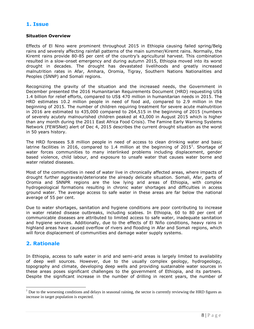#### **1. Issue**

#### **Situation Overview**

Effects of El Nino were prominent throughout 2015 in Ethiopia causing failed spring/Belg rains and severely affecting rainfall patterns of the main summer/Kiremt rains. Normally, the Kiremt rains provide 80-85 per cent of the country's agricultural harvest. This combination resulted in a slow-onset emergency and during autumn 2015, Ethiopia moved into its worst drought in decades. The drought has devastated livelihoods and greatly increased malnutrition rates in Afar, Amhara, Oromia, Tigray, Southern Nations Nationalities and Peoples (SNNP) and Somali regions.

Recognizing the gravity of the situation and the increased needs, the Government in December presented the 2016 Humanitarian Requirements Document (HRD) requesting US\$ 1.4 billion for relief efforts, compared to US\$ 470 million in humanitarian needs in 2015. The HRD estimates 10.2 million people in need of food aid, compared to 2.9 million in the beginning of 2015. The number of children requiring treatment for severe acute malnutrition in 2016 are estimated to 435,000 compared to 264,515 in the beginning of 2015 (numbers of severely acutely malnourished children peaked at 43,000 in August 2015 which is higher than any month during the 2011 East Africa Food Crisis). The Famine Early Warning Systems Network (FEWSNet) alert of Dec 4, 2015 describes the current drought situation as the worst in 50 years history.

The HRD foresees 5.8 million people in need of access to clean drinking water and basic latrine facilities in 2016, compared to 1.4 million at the beginning of 2015<sup>1</sup>. Shortage of water forces communities to many interlinked problems including displacement, gender based violence, child labour, and exposure to unsafe water that causes water borne and water related diseases.

Most of the communities in need of water live in chronically affected areas, where impacts of drought further aggravate/deteriorate the already delicate situation. Somali, Afar, parts of Oromia and SNNPR regions are the low lying arid areas of Ethiopia, with complex hydrogeological formations resulting in chronic water shortages and difficulties in access ground water. The average access to safe water in these areas are far below the national average of 55 per cent.

Due to water shortages, sanitation and hygiene conditions are poor contributing to increase in water related disease outbreaks, including scabies. In Ethiopia, 60 to 80 per cent of communicable diseases are attributed to limited access to safe water, inadequate sanitation and hygiene services. Additionally, due to the effects of El Niño conditions, heavy rains in highland areas have caused overflow of rivers and flooding in Afar and Somali regions, which will force displacement of communities and damage water supply systems.

#### **2. Rationale**

 $\overline{a}$ 

In Ethiopia, access to safe water in arid and semi-arid areas is largely limited to availability of deep well sources. However, due to the usually complex geology, hydrogeology, topography and climate, developing deep wells and providing sustainable water sources in these areas poses significant challenges to the government of Ethiopia, and its partners. Despite the significant increase in the number of drilling in recent years, the number of

 $<sup>1</sup>$  Due to the worsening conditions and delays in seasonal raining, the sector is currently reviewing the HRD figures as</sup> increase in target population is expected.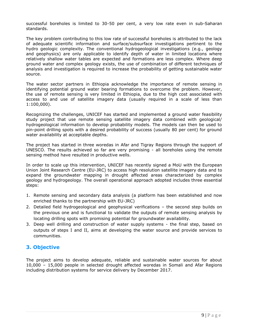successful boreholes is limited to 30-50 per cent, a very low rate even in sub-Saharan standards.

The key problem contributing to this low rate of successful boreholes is attributed to the lack of adequate scientific information and surface/subsurface investigations pertinent to the hydro geologic complexity. The conventional hydrogeological investigations (e.g., geology and geophysics) are only applicable to identify depth of water in limited locations where relatively shallow water tables are expected and formations are less complex. Where deep ground water and complex geology exists, the use of combination of different techniques of analysis and investigation is required to increase the probability of getting sustainable water source.

The water sector partners in Ethiopia acknowledge the importance of remote sensing in identifying potential ground water bearing formations to overcome the problem. However, the use of remote sensing is very limited in Ethiopia, due to the high cost associated with access to and use of satellite imagery data (usually required in a scale of less than 1:100,000).

Recognizing the challenges, UNICEF has started and implemented a ground water feasibility study project that use remote sensing satellite imagery data combined with geological/ hydrogeological information to develop probability models. The models can then be used to pin-point drilling spots with a desired probability of success (usually 80 per cent) for ground water availability at acceptable depths.

The project has started in three woredas in Afar and Tigray Regions through the support of UNESCO. The results achieved so far are very promising - all boreholes using the remote sensing method have resulted in productive wells.

In order to scale up this intervention, UNICEF has recently signed a MoU with the European Union Joint Research Centre (EU-JRC) to access high resolution satellite imagery data and to expand the groundwater mapping in drought affected areas characterized by complex geology and hydrogeology. The overall operational approach adopted includes three essential steps:

- 1. Remote sensing and secondary data analysis (a platform has been established and now enriched thanks to the partnership with EU-JRC)
- 2. Detailed field hydrogeological and geophysical verifications the second step builds on the previous one and is functional to validate the outputs of remote sensing analysis by locating drilling spots with promising potential for groundwater availability.
- 3. Deep well drilling and construction of water supply systems the final step, based on outputs of steps I and II, aims at developing the water source and provide services to communities.

#### **3. Objective**

The project aims to develop adequate, reliable and sustainable water sources for about 10,000 – 15,000 people in selected drought affected woredas in Somali and Afar Regions including distribution systems for service delivery by December 2017.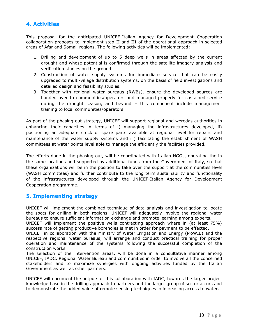#### **4. Activities**

This proposal for the anticipated UNICEF-Italian Agency for Development Cooperation collaboration proposes to implement step-II and III of the operational approach in selected areas of Afar and Somali regions. The following activities will be implemented:

- 1. Drilling and development of up to 5 deep wells in areas affected by the current drought and whose potential is confirmed through the satellite imagery analysis and verification studies on the ground
- 2. Construction of water supply systems for immediate service that can be easily upgraded to multi-village distribution systems, on the basis of field investigations and detailed design and feasibility studies.
- 3. Together with regional water bureaus (RWBs), ensure the developed sources are handed over to communities/operators and managed properly for sustained service during the drought season, and beyond – this component include management training to local communities/operators.

As part of the phasing out strategy, UNICEF will support regional and weredas authorities in enhancing their capacities in terms of i) managing the infrastructures developed, ii) positioning an adequate stock of spare parts available at regional level for repairs and maintenance of the water supply systems and iii) facilitating the establishment of WASH committees at water points level able to manage the efficiently the facilities provided.

The efforts done in the phasing out, will be coordinated with Italian NGOs, operating the in the same locations and supported by additional funds from the Government of Italy, so that these organizations will be in the position to take over the support at the communities level (WASH committees) and further contribute to the long term sustainability and functionality of the infrastructures developed through the UNICEF-Italian Agency for Development Cooperation programme.

#### **5. Implementing strategy**

UNICEF will implement the combined technique of data analysis and investigation to locate the spots for drilling in both regions. UNICEF will adequately involve the regional water bureaus to ensure sufficient information exchange and promote learning among experts.

UNICEF will implement the positive wells contracting approach where in (at least 75%) success rate of getting productive boreholes is met in order for payment to be effected.

UNICEF in collaboration with the Ministry of Water Irrigation and Energy (MoWIE) and the respective regional water bureaus, will arrange and conduct practical training for proper operation and maintenance of the systems following the successful completion of the construction works.

The selection of the intervention areas, will be done in a consultative manner among UNICEF, IADC, Regional Water Bureau and communities in order to involve all the concerned stakeholders and to maximize synergies with ongoing activities funded by the Italian Government as well as other partners.

UNICEF will document the outputs of this collaboration with IADC, towards the larger project knowledge base in the drilling approach to partners and the larger group of sector actors and to demonstrate the added value of remote sensing techniques in increasing access to water.